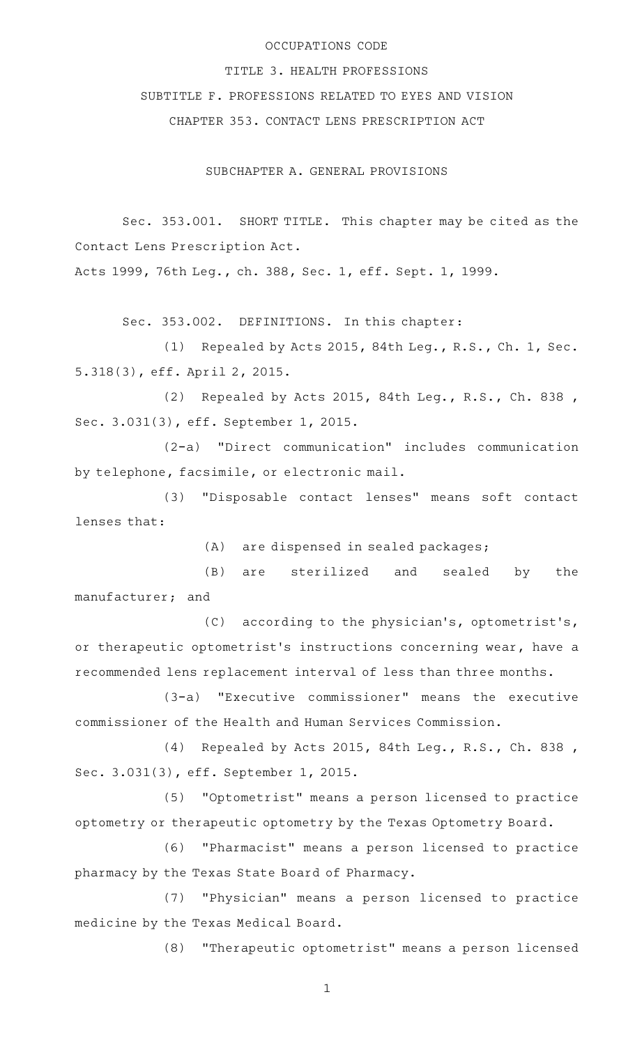### OCCUPATIONS CODE

### TITLE 3. HEALTH PROFESSIONS

SUBTITLE F. PROFESSIONS RELATED TO EYES AND VISION

CHAPTER 353. CONTACT LENS PRESCRIPTION ACT

SUBCHAPTER A. GENERAL PROVISIONS

Sec. 353.001. SHORT TITLE. This chapter may be cited as the Contact Lens Prescription Act.

Acts 1999, 76th Leg., ch. 388, Sec. 1, eff. Sept. 1, 1999.

Sec. 353.002. DEFINITIONS. In this chapter:

(1) Repealed by Acts 2015, 84th Leg., R.S., Ch. 1, Sec. 5.318(3), eff. April 2, 2015.

(2) Repealed by Acts 2015, 84th Leg., R.S., Ch. 838, Sec. 3.031(3), eff. September 1, 2015.

(2-a) "Direct communication" includes communication by telephone, facsimile, or electronic mail.

(3) "Disposable contact lenses" means soft contact lenses that:

(A) are dispensed in sealed packages;

(B) are sterilized and sealed by the manufacturer; and

(C) according to the physician's, optometrist's, or therapeutic optometrist's instructions concerning wear, have a recommended lens replacement interval of less than three months.

(3-a) "Executive commissioner" means the executive commissioner of the Health and Human Services Commission.

(4) Repealed by Acts 2015, 84th Leg., R.S., Ch. 838, Sec. 3.031(3), eff. September 1, 2015.

(5) "Optometrist" means a person licensed to practice optometry or therapeutic optometry by the Texas Optometry Board.

(6) "Pharmacist" means a person licensed to practice pharmacy by the Texas State Board of Pharmacy.

(7) "Physician" means a person licensed to practice medicine by the Texas Medical Board.

(8) "Therapeutic optometrist" means a person licensed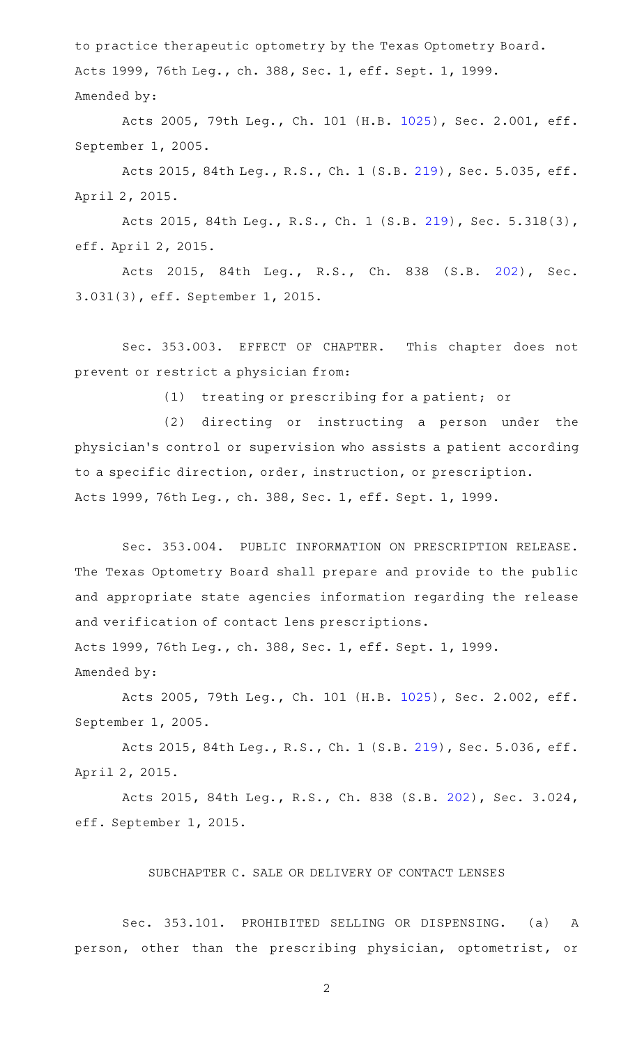to practice therapeutic optometry by the Texas Optometry Board. Acts 1999, 76th Leg., ch. 388, Sec. 1, eff. Sept. 1, 1999. Amended by:

Acts 2005, 79th Leg., Ch. 101 (H.B. [1025](http://www.legis.state.tx.us/tlodocs/79R/billtext/html/HB01025F.HTM)), Sec. 2.001, eff. September 1, 2005.

Acts 2015, 84th Leg., R.S., Ch. 1 (S.B. [219](http://www.legis.state.tx.us/tlodocs/84R/billtext/html/SB00219F.HTM)), Sec. 5.035, eff. April 2, 2015.

Acts 2015, 84th Leg., R.S., Ch. 1 (S.B. [219](http://www.legis.state.tx.us/tlodocs/84R/billtext/html/SB00219F.HTM)), Sec. 5.318(3), eff. April 2, 2015.

Acts 2015, 84th Leg., R.S., Ch. 838 (S.B. [202\)](http://www.legis.state.tx.us/tlodocs/84R/billtext/html/SB00202F.HTM), Sec. 3.031(3), eff. September 1, 2015.

Sec. 353.003. EFFECT OF CHAPTER. This chapter does not prevent or restrict a physician from:

(1) treating or prescribing for a patient; or

(2) directing or instructing a person under the physician 's control or supervision who assists a patient according to a specific direction, order, instruction, or prescription. Acts 1999, 76th Leg., ch. 388, Sec. 1, eff. Sept. 1, 1999.

Sec. 353.004. PUBLIC INFORMATION ON PRESCRIPTION RELEASE. The Texas Optometry Board shall prepare and provide to the public and appropriate state agencies information regarding the release and verification of contact lens prescriptions. Acts 1999, 76th Leg., ch. 388, Sec. 1, eff. Sept. 1, 1999.

Amended by:

Acts 2005, 79th Leg., Ch. 101 (H.B. [1025](http://www.legis.state.tx.us/tlodocs/79R/billtext/html/HB01025F.HTM)), Sec. 2.002, eff. September 1, 2005.

Acts 2015, 84th Leg., R.S., Ch. 1 (S.B. [219](http://www.legis.state.tx.us/tlodocs/84R/billtext/html/SB00219F.HTM)), Sec. 5.036, eff. April 2, 2015.

Acts 2015, 84th Leg., R.S., Ch. 838 (S.B. [202](http://www.legis.state.tx.us/tlodocs/84R/billtext/html/SB00202F.HTM)), Sec. 3.024, eff. September 1, 2015.

## SUBCHAPTER C. SALE OR DELIVERY OF CONTACT LENSES

Sec. 353.101. PROHIBITED SELLING OR DISPENSING. (a) A person, other than the prescribing physician, optometrist, or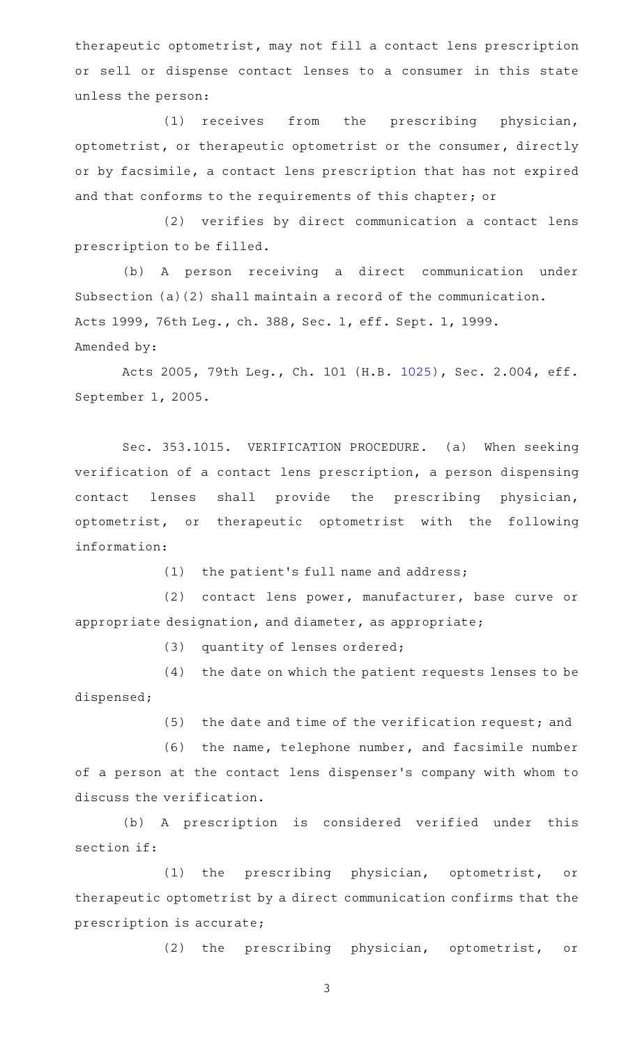therapeutic optometrist, may not fill a contact lens prescription or sell or dispense contact lenses to a consumer in this state unless the person:

(1) receives from the prescribing physician, optometrist, or therapeutic optometrist or the consumer, directly or by facsimile, a contact lens prescription that has not expired and that conforms to the requirements of this chapter; or

(2) verifies by direct communication a contact lens prescription to be filled.

(b) A person receiving a direct communication under Subsection (a)(2) shall maintain a record of the communication. Acts 1999, 76th Leg., ch. 388, Sec. 1, eff. Sept. 1, 1999. Amended by:

Acts 2005, 79th Leg., Ch. 101 (H.B. [1025](http://www.legis.state.tx.us/tlodocs/79R/billtext/html/HB01025F.HTM)), Sec. 2.004, eff. September 1, 2005.

Sec. 353.1015. VERIFICATION PROCEDURE. (a) When seeking verification of a contact lens prescription, a person dispensing contact lenses shall provide the prescribing physician, optometrist, or therapeutic optometrist with the following information:

(1) the patient's full name and address;

(2) contact lens power, manufacturer, base curve or appropriate designation, and diameter, as appropriate;

(3) quantity of lenses ordered;

(4) the date on which the patient requests lenses to be dispensed;

(5) the date and time of the verification request; and

 $(6)$  the name, telephone number, and facsimile number of a person at the contact lens dispenser 's company with whom to discuss the verification.

(b) A prescription is considered verified under this section if:

(1) the prescribing physician, optometrist, or therapeutic optometrist by a direct communication confirms that the prescription is accurate;

(2) the prescribing physician, optometrist, or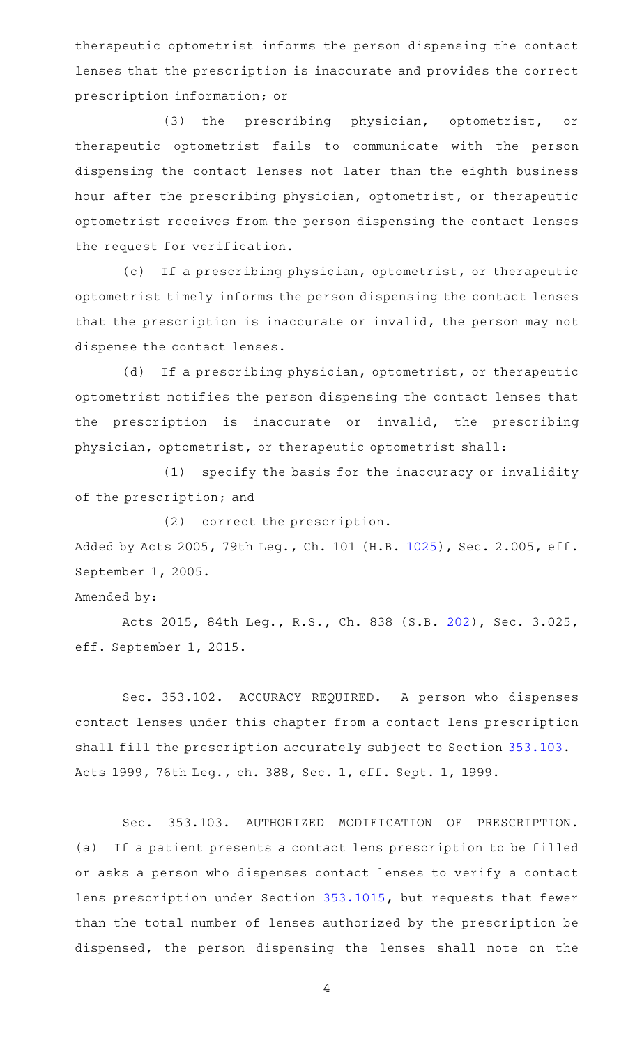therapeutic optometrist informs the person dispensing the contact lenses that the prescription is inaccurate and provides the correct prescription information; or

(3) the prescribing physician, optometrist, or therapeutic optometrist fails to communicate with the person dispensing the contact lenses not later than the eighth business hour after the prescribing physician, optometrist, or therapeutic optometrist receives from the person dispensing the contact lenses the request for verification.

(c) If a prescribing physician, optometrist, or therapeutic optometrist timely informs the person dispensing the contact lenses that the prescription is inaccurate or invalid, the person may not dispense the contact lenses.

(d) If a prescribing physician, optometrist, or therapeutic optometrist notifies the person dispensing the contact lenses that the prescription is inaccurate or invalid, the prescribing physician, optometrist, or therapeutic optometrist shall:

 $(1)$  specify the basis for the inaccuracy or invalidity of the prescription; and

(2) correct the prescription.

Added by Acts 2005, 79th Leg., Ch. 101 (H.B. [1025](http://www.legis.state.tx.us/tlodocs/79R/billtext/html/HB01025F.HTM)), Sec. 2.005, eff. September 1, 2005.

## Amended by:

Acts 2015, 84th Leg., R.S., Ch. 838 (S.B. [202](http://www.legis.state.tx.us/tlodocs/84R/billtext/html/SB00202F.HTM)), Sec. 3.025, eff. September 1, 2015.

Sec. 353.102. ACCURACY REQUIRED. A person who dispenses contact lenses under this chapter from a contact lens prescription shall fill the prescription accurately subject to Section [353.103](http://www.statutes.legis.state.tx.us/GetStatute.aspx?Code=OC&Value=353.103). Acts 1999, 76th Leg., ch. 388, Sec. 1, eff. Sept. 1, 1999.

Sec. 353.103. AUTHORIZED MODIFICATION OF PRESCRIPTION. (a) If a patient presents a contact lens prescription to be filled or asks a person who dispenses contact lenses to verify a contact lens prescription under Section [353.1015,](http://www.statutes.legis.state.tx.us/GetStatute.aspx?Code=OC&Value=353.1015) but requests that fewer than the total number of lenses authorized by the prescription be dispensed, the person dispensing the lenses shall note on the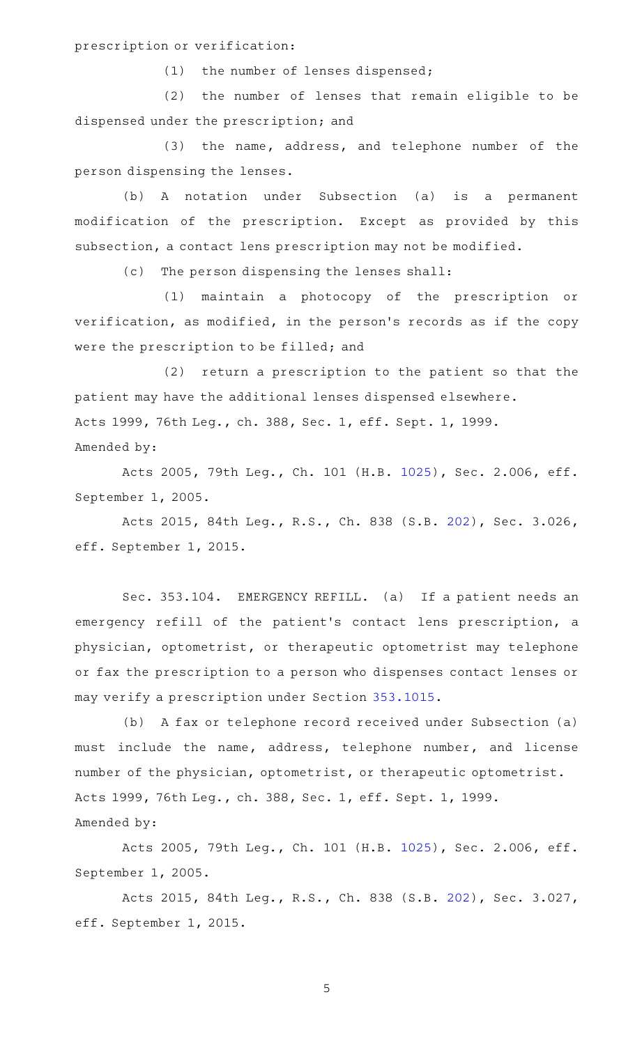prescription or verification:

 $(1)$  the number of lenses dispensed;

(2) the number of lenses that remain eligible to be dispensed under the prescription; and

(3) the name, address, and telephone number of the person dispensing the lenses.

(b) A notation under Subsection (a) is a permanent modification of the prescription. Except as provided by this subsection, a contact lens prescription may not be modified.

(c) The person dispensing the lenses shall:

(1) maintain a photocopy of the prescription or verification, as modified, in the person 's records as if the copy were the prescription to be filled; and

(2) return a prescription to the patient so that the patient may have the additional lenses dispensed elsewhere. Acts 1999, 76th Leg., ch. 388, Sec. 1, eff. Sept. 1, 1999. Amended by:

Acts 2005, 79th Leg., Ch. 101 (H.B. [1025](http://www.legis.state.tx.us/tlodocs/79R/billtext/html/HB01025F.HTM)), Sec. 2.006, eff. September 1, 2005.

Acts 2015, 84th Leg., R.S., Ch. 838 (S.B. [202](http://www.legis.state.tx.us/tlodocs/84R/billtext/html/SB00202F.HTM)), Sec. 3.026, eff. September 1, 2015.

Sec. 353.104. EMERGENCY REFILL. (a) If a patient needs an emergency refill of the patient's contact lens prescription, a physician, optometrist, or therapeutic optometrist may telephone or fax the prescription to a person who dispenses contact lenses or may verify a prescription under Section [353.1015](http://www.statutes.legis.state.tx.us/GetStatute.aspx?Code=OC&Value=353.1015).

(b) A fax or telephone record received under Subsection (a) must include the name, address, telephone number, and license number of the physician, optometrist, or therapeutic optometrist. Acts 1999, 76th Leg., ch. 388, Sec. 1, eff. Sept. 1, 1999. Amended by:

Acts 2005, 79th Leg., Ch. 101 (H.B. [1025](http://www.legis.state.tx.us/tlodocs/79R/billtext/html/HB01025F.HTM)), Sec. 2.006, eff. September 1, 2005.

Acts 2015, 84th Leg., R.S., Ch. 838 (S.B. [202](http://www.legis.state.tx.us/tlodocs/84R/billtext/html/SB00202F.HTM)), Sec. 3.027, eff. September 1, 2015.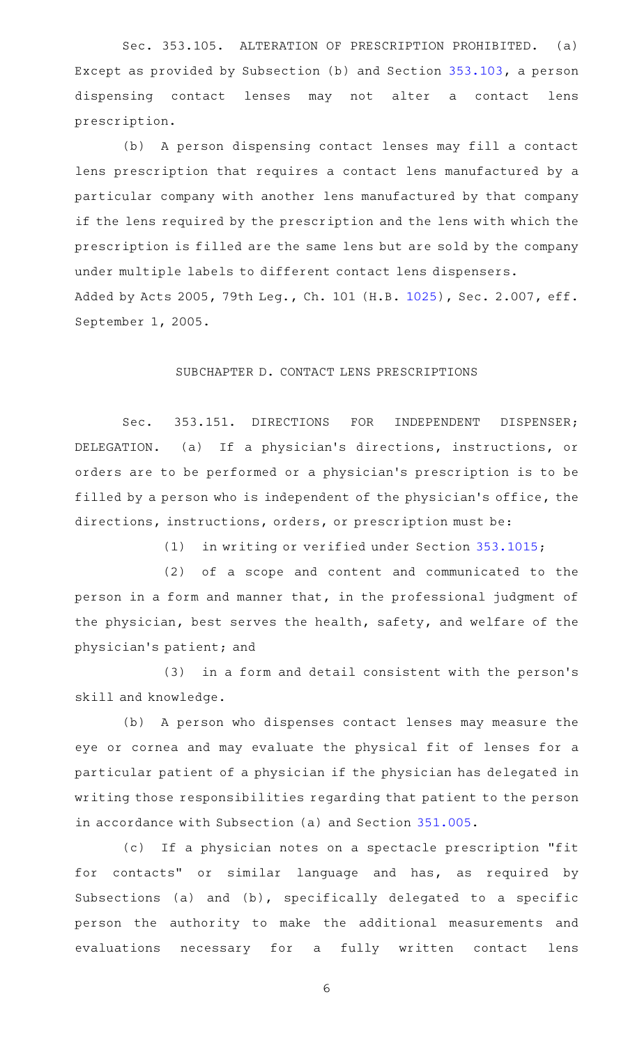Sec. 353.105. ALTERATION OF PRESCRIPTION PROHIBITED. (a) Except as provided by Subsection (b) and Section [353.103,](http://www.statutes.legis.state.tx.us/GetStatute.aspx?Code=OC&Value=353.103) a person dispensing contact lenses may not alter a contact lens prescription.

(b) A person dispensing contact lenses may fill a contact lens prescription that requires a contact lens manufactured by a particular company with another lens manufactured by that company if the lens required by the prescription and the lens with which the prescription is filled are the same lens but are sold by the company under multiple labels to different contact lens dispensers. Added by Acts 2005, 79th Leg., Ch. 101 (H.B. [1025](http://www.legis.state.tx.us/tlodocs/79R/billtext/html/HB01025F.HTM)), Sec. 2.007, eff. September 1, 2005.

#### SUBCHAPTER D. CONTACT LENS PRESCRIPTIONS

Sec. 353.151. DIRECTIONS FOR INDEPENDENT DISPENSER; DELEGATION. (a) If a physician's directions, instructions, or orders are to be performed or a physician 's prescription is to be filled by a person who is independent of the physician 's office, the directions, instructions, orders, or prescription must be:

(1) in writing or verified under Section [353.1015;](http://www.statutes.legis.state.tx.us/GetStatute.aspx?Code=OC&Value=353.1015)

(2) of a scope and content and communicated to the person in a form and manner that, in the professional judgment of the physician, best serves the health, safety, and welfare of the physician 's patient; and

(3) in a form and detail consistent with the person's skill and knowledge.

(b) A person who dispenses contact lenses may measure the eye or cornea and may evaluate the physical fit of lenses for a particular patient of a physician if the physician has delegated in writing those responsibilities regarding that patient to the person in accordance with Subsection (a) and Section [351.005](http://www.statutes.legis.state.tx.us/GetStatute.aspx?Code=OC&Value=351.005).

(c) If a physician notes on a spectacle prescription "fit for contacts" or similar language and has, as required by Subsections (a) and (b), specifically delegated to a specific person the authority to make the additional measurements and evaluations necessary for a fully written contact lens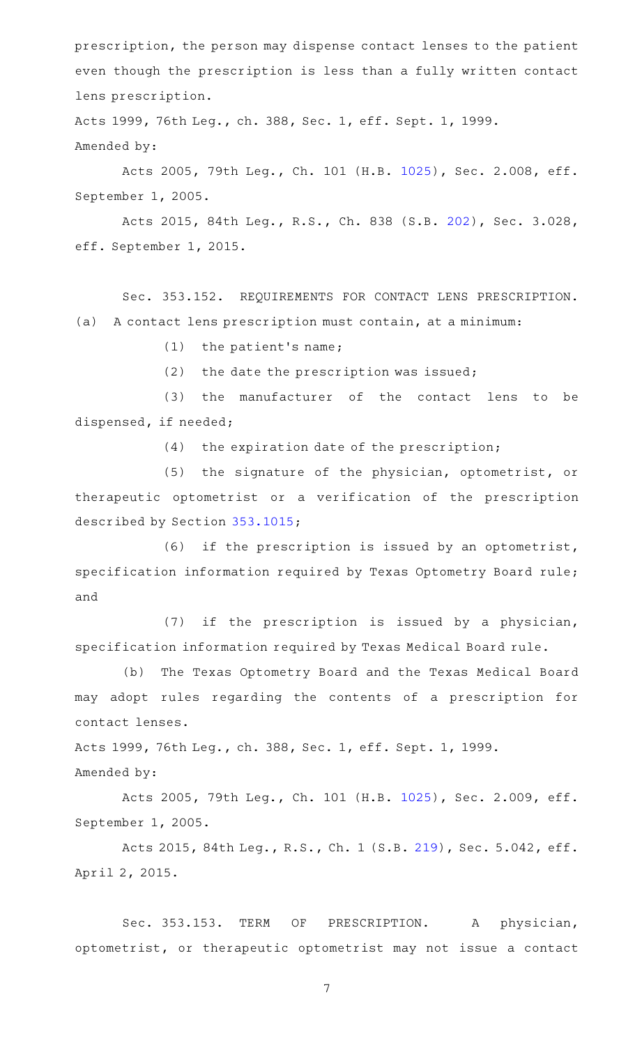prescription, the person may dispense contact lenses to the patient even though the prescription is less than a fully written contact lens prescription.

Acts 1999, 76th Leg., ch. 388, Sec. 1, eff. Sept. 1, 1999. Amended by:

Acts 2005, 79th Leg., Ch. 101 (H.B. [1025](http://www.legis.state.tx.us/tlodocs/79R/billtext/html/HB01025F.HTM)), Sec. 2.008, eff. September 1, 2005.

Acts 2015, 84th Leg., R.S., Ch. 838 (S.B. [202](http://www.legis.state.tx.us/tlodocs/84R/billtext/html/SB00202F.HTM)), Sec. 3.028, eff. September 1, 2015.

Sec. 353.152. REQUIREMENTS FOR CONTACT LENS PRESCRIPTION. (a) A contact lens prescription must contain, at a minimum:

 $(1)$  the patient's name;

 $(2)$  the date the prescription was issued;

(3) the manufacturer of the contact lens to be dispensed, if needed;

 $(4)$  the expiration date of the prescription;

(5) the signature of the physician, optometrist, or therapeutic optometrist or a verification of the prescription described by Section [353.1015](http://www.statutes.legis.state.tx.us/GetStatute.aspx?Code=OC&Value=353.1015);

(6) if the prescription is issued by an optometrist, specification information required by Texas Optometry Board rule; and

 $(7)$  if the prescription is issued by a physician, specification information required by Texas Medical Board rule.

(b) The Texas Optometry Board and the Texas Medical Board may adopt rules regarding the contents of a prescription for contact lenses.

Acts 1999, 76th Leg., ch. 388, Sec. 1, eff. Sept. 1, 1999.

Amended by:

Acts 2005, 79th Leg., Ch. 101 (H.B. [1025](http://www.legis.state.tx.us/tlodocs/79R/billtext/html/HB01025F.HTM)), Sec. 2.009, eff. September 1, 2005.

Acts 2015, 84th Leg., R.S., Ch. 1 (S.B. [219](http://www.legis.state.tx.us/tlodocs/84R/billtext/html/SB00219F.HTM)), Sec. 5.042, eff. April 2, 2015.

Sec. 353.153. TERM OF PRESCRIPTION. A physician, optometrist, or therapeutic optometrist may not issue a contact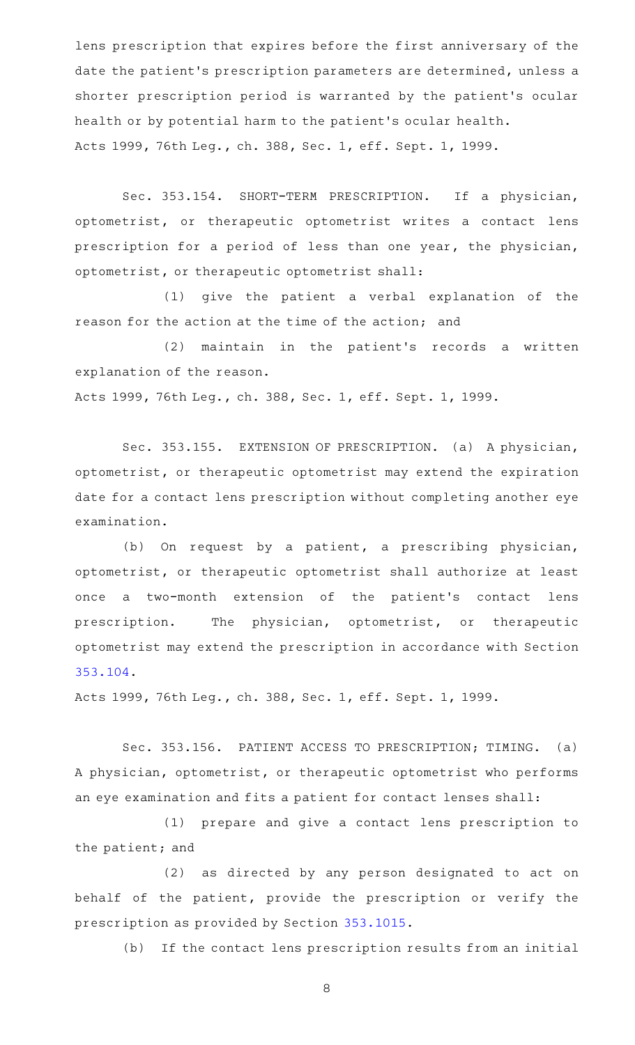lens prescription that expires before the first anniversary of the date the patient's prescription parameters are determined, unless a shorter prescription period is warranted by the patient 's ocular health or by potential harm to the patient 's ocular health. Acts 1999, 76th Leg., ch. 388, Sec. 1, eff. Sept. 1, 1999.

Sec. 353.154. SHORT-TERM PRESCRIPTION. If a physician, optometrist, or therapeutic optometrist writes a contact lens prescription for a period of less than one year, the physician, optometrist, or therapeutic optometrist shall:

(1) give the patient a verbal explanation of the reason for the action at the time of the action; and

(2) maintain in the patient's records a written explanation of the reason. Acts 1999, 76th Leg., ch. 388, Sec. 1, eff. Sept. 1, 1999.

Sec. 353.155. EXTENSION OF PRESCRIPTION. (a) A physician, optometrist, or therapeutic optometrist may extend the expiration date for a contact lens prescription without completing another eye examination.

(b) On request by a patient, a prescribing physician, optometrist, or therapeutic optometrist shall authorize at least once a two-month extension of the patient's contact lens prescription. The physician, optometrist, or therapeutic optometrist may extend the prescription in accordance with Section [353.104.](http://www.statutes.legis.state.tx.us/GetStatute.aspx?Code=OC&Value=353.104)

Acts 1999, 76th Leg., ch. 388, Sec. 1, eff. Sept. 1, 1999.

Sec. 353.156. PATIENT ACCESS TO PRESCRIPTION; TIMING. (a) A physician, optometrist, or therapeutic optometrist who performs an eye examination and fits a patient for contact lenses shall:

(1) prepare and give a contact lens prescription to the patient; and

(2) as directed by any person designated to act on behalf of the patient, provide the prescription or verify the prescription as provided by Section [353.1015.](http://www.statutes.legis.state.tx.us/GetStatute.aspx?Code=OC&Value=353.1015)

(b) If the contact lens prescription results from an initial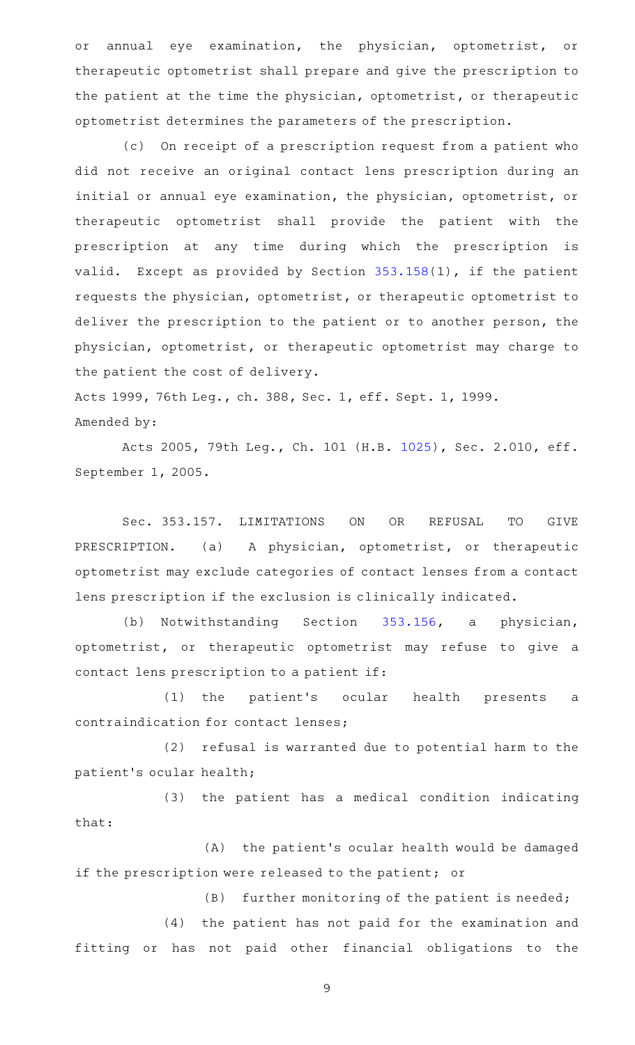or annual eye examination, the physician, optometrist, or therapeutic optometrist shall prepare and give the prescription to the patient at the time the physician, optometrist, or therapeutic optometrist determines the parameters of the prescription.

(c) On receipt of a prescription request from a patient who did not receive an original contact lens prescription during an initial or annual eye examination, the physician, optometrist, or therapeutic optometrist shall provide the patient with the prescription at any time during which the prescription is valid. Except as provided by Section  $353.158(1)$  $353.158(1)$ , if the patient requests the physician, optometrist, or therapeutic optometrist to deliver the prescription to the patient or to another person, the physician, optometrist, or therapeutic optometrist may charge to the patient the cost of delivery.

Acts 1999, 76th Leg., ch. 388, Sec. 1, eff. Sept. 1, 1999. Amended by:

Acts 2005, 79th Leg., Ch. 101 (H.B. [1025](http://www.legis.state.tx.us/tlodocs/79R/billtext/html/HB01025F.HTM)), Sec. 2.010, eff. September 1, 2005.

Sec. 353.157. LIMITATIONS ON OR REFUSAL TO GIVE PRESCRIPTION. (a) A physician, optometrist, or therapeutic optometrist may exclude categories of contact lenses from a contact lens prescription if the exclusion is clinically indicated.

(b) Notwithstanding Section [353.156,](http://www.statutes.legis.state.tx.us/GetStatute.aspx?Code=OC&Value=353.156) a physician, optometrist, or therapeutic optometrist may refuse to give a contact lens prescription to a patient if:

(1) the patient's ocular health presents a contraindication for contact lenses;

(2) refusal is warranted due to potential harm to the patient 's ocular health;

(3) the patient has a medical condition indicating that:

(A) the patient's ocular health would be damaged if the prescription were released to the patient; or

 $(B)$  further monitoring of the patient is needed;

(4) the patient has not paid for the examination and fitting or has not paid other financial obligations to the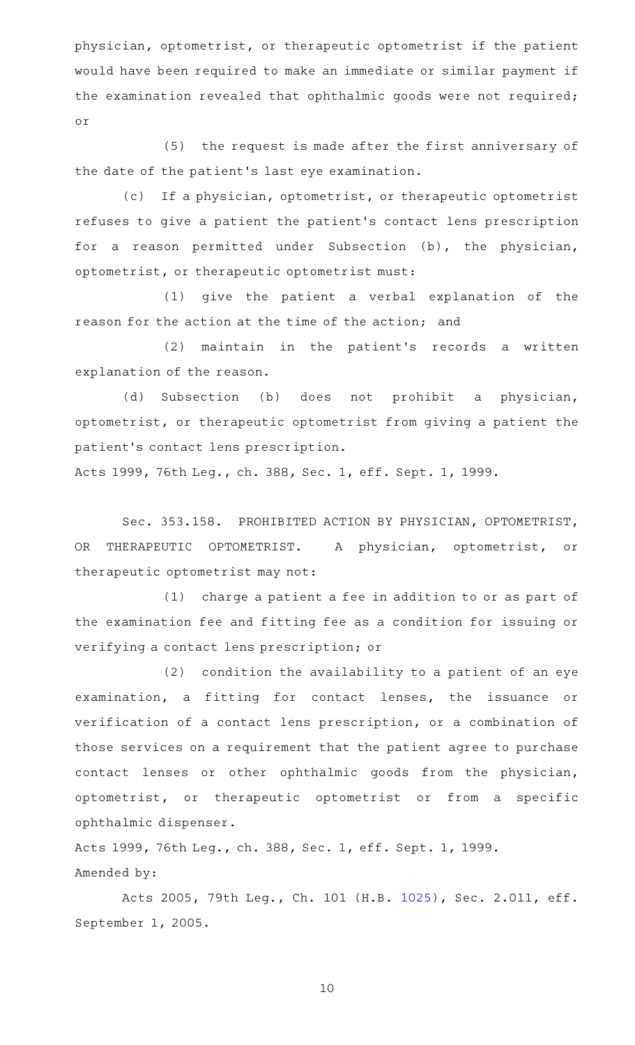physician, optometrist, or therapeutic optometrist if the patient would have been required to make an immediate or similar payment if the examination revealed that ophthalmic goods were not required; or

(5) the request is made after the first anniversary of the date of the patient 's last eye examination.

(c) If a physician, optometrist, or therapeutic optometrist refuses to give a patient the patient 's contact lens prescription for a reason permitted under Subsection (b), the physician, optometrist, or therapeutic optometrist must:

(1) give the patient a verbal explanation of the reason for the action at the time of the action; and

(2) maintain in the patient's records a written explanation of the reason.

(d) Subsection (b) does not prohibit a physician, optometrist, or therapeutic optometrist from giving a patient the patient 's contact lens prescription.

Acts 1999, 76th Leg., ch. 388, Sec. 1, eff. Sept. 1, 1999.

Sec. 353.158. PROHIBITED ACTION BY PHYSICIAN, OPTOMETRIST, OR THERAPEUTIC OPTOMETRIST. A physician, optometrist, or therapeutic optometrist may not:

(1) charge a patient a fee in addition to or as part of the examination fee and fitting fee as a condition for issuing or verifying a contact lens prescription; or

 $(2)$  condition the availability to a patient of an eye examination, a fitting for contact lenses, the issuance or verification of a contact lens prescription, or a combination of those services on a requirement that the patient agree to purchase contact lenses or other ophthalmic goods from the physician, optometrist, or therapeutic optometrist or from a specific ophthalmic dispenser.

Acts 1999, 76th Leg., ch. 388, Sec. 1, eff. Sept. 1, 1999. Amended by:

Acts 2005, 79th Leg., Ch. 101 (H.B. [1025](http://www.legis.state.tx.us/tlodocs/79R/billtext/html/HB01025F.HTM)), Sec. 2.011, eff. September 1, 2005.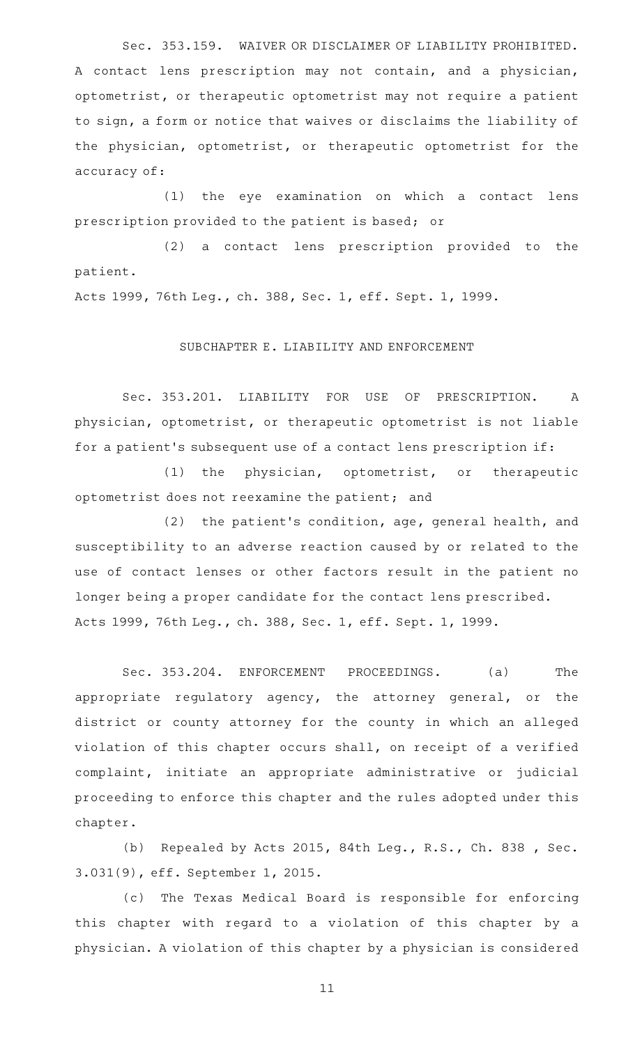Sec. 353.159. WAIVER OR DISCLAIMER OF LIABILITY PROHIBITED. A contact lens prescription may not contain, and a physician, optometrist, or therapeutic optometrist may not require a patient to sign, a form or notice that waives or disclaims the liability of the physician, optometrist, or therapeutic optometrist for the accuracy of:

(1) the eye examination on which a contact lens prescription provided to the patient is based; or

(2) a contact lens prescription provided to the patient.

Acts 1999, 76th Leg., ch. 388, Sec. 1, eff. Sept. 1, 1999.

# SUBCHAPTER E. LIABILITY AND ENFORCEMENT

Sec. 353.201. LIABILITY FOR USE OF PRESCRIPTION. A physician, optometrist, or therapeutic optometrist is not liable for a patient's subsequent use of a contact lens prescription if:

 $(1)$  the physician, optometrist, or therapeutic optometrist does not reexamine the patient; and

 $(2)$  the patient's condition, age, general health, and susceptibility to an adverse reaction caused by or related to the use of contact lenses or other factors result in the patient no longer being a proper candidate for the contact lens prescribed. Acts 1999, 76th Leg., ch. 388, Sec. 1, eff. Sept. 1, 1999.

Sec. 353.204. ENFORCEMENT PROCEEDINGS. (a) The appropriate regulatory agency, the attorney general, or the district or county attorney for the county in which an alleged violation of this chapter occurs shall, on receipt of a verified complaint, initiate an appropriate administrative or judicial proceeding to enforce this chapter and the rules adopted under this chapter.

(b) Repealed by Acts 2015, 84th Leg., R.S., Ch. 838 , Sec. 3.031(9), eff. September 1, 2015.

(c) The Texas Medical Board is responsible for enforcing this chapter with regard to a violation of this chapter by a physician. A violation of this chapter by a physician is considered